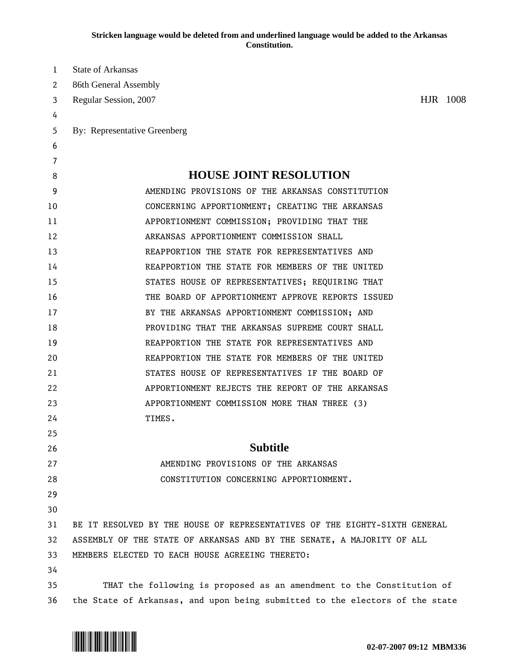**Stricken language would be deleted from and underlined language would be added to the Arkansas Constitution.** 

| 1  | <b>State of Arkansas</b>                                                     |
|----|------------------------------------------------------------------------------|
| 2  | 86th General Assembly                                                        |
| 3  | HJR 1008<br>Regular Session, 2007                                            |
| 4  |                                                                              |
| 5  | By: Representative Greenberg                                                 |
| 6  |                                                                              |
| 7  |                                                                              |
| 8  | <b>HOUSE JOINT RESOLUTION</b>                                                |
| 9  | AMENDING PROVISIONS OF THE ARKANSAS CONSTITUTION                             |
| 10 | CONCERNING APPORTIONMENT; CREATING THE ARKANSAS                              |
| 11 | APPORTIONMENT COMMISSION; PROVIDING THAT THE                                 |
| 12 | ARKANSAS APPORTIONMENT COMMISSION SHALL                                      |
| 13 | REAPPORTION THE STATE FOR REPRESENTATIVES AND                                |
| 14 | REAPPORTION THE STATE FOR MEMBERS OF THE UNITED                              |
| 15 | STATES HOUSE OF REPRESENTATIVES; REQUIRING THAT                              |
| 16 | THE BOARD OF APPORTIONMENT APPROVE REPORTS ISSUED                            |
| 17 | BY THE ARKANSAS APPORTIONMENT COMMISSION; AND                                |
| 18 | PROVIDING THAT THE ARKANSAS SUPREME COURT SHALL                              |
| 19 | REAPPORTION THE STATE FOR REPRESENTATIVES AND                                |
| 20 | REAPPORTION THE STATE FOR MEMBERS OF THE UNITED                              |
| 21 | STATES HOUSE OF REPRESENTATIVES IF THE BOARD OF                              |
| 22 | APPORTIONMENT REJECTS THE REPORT OF THE ARKANSAS                             |
| 23 | APPORTIONMENT COMMISSION MORE THAN THREE (3)                                 |
| 24 | TIMES.                                                                       |
| 25 |                                                                              |
| 26 | <b>Subtitle</b>                                                              |
| 27 | AMENDING PROVISIONS OF THE ARKANSAS                                          |
| 28 | CONSTITUTION CONCERNING APPORTIONMENT.                                       |
| 29 |                                                                              |
| 30 |                                                                              |
| 31 | BE IT RESOLVED BY THE HOUSE OF REPRESENTATIVES OF THE EIGHTY-SIXTH GENERAL   |
| 32 | ASSEMBLY OF THE STATE OF ARKANSAS AND BY THE SENATE, A MAJORITY OF ALL       |
| 33 | MEMBERS ELECTED TO EACH HOUSE AGREEING THERETO:                              |
| 34 |                                                                              |
| 35 | THAT the following is proposed as an amendment to the Constitution of        |
| 36 | the State of Arkansas, and upon being submitted to the electors of the state |

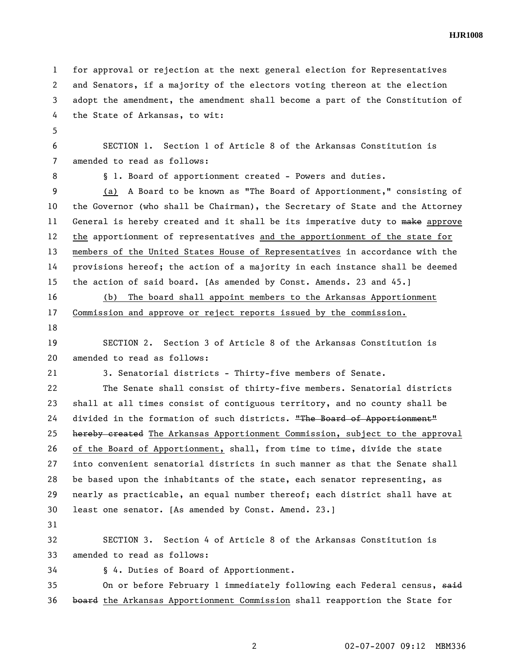**HJR1008** 

1 for approval or rejection at the next general election for Representatives 2 and Senators, if a majority of the electors voting thereon at the election 3 adopt the amendment, the amendment shall become a part of the Constitution of 4 the State of Arkansas, to wit:

5

6 SECTION 1. Section 1 of Article 8 of the Arkansas Constitution is 7 amended to read as follows:

8 **§** 1. Board of apportionment created - Powers and duties.

9 (a) A Board to be known as "The Board of Apportionment," consisting of 10 the Governor (who shall be Chairman), the Secretary of State and the Attorney 11 General is hereby created and it shall be its imperative duty to make approve 12 the apportionment of representatives and the apportionment of the state for 13 members of the United States House of Representatives in accordance with the 14 provisions hereof; the action of a majority in each instance shall be deemed 15 the action of said board. [As amended by Const. Amends. 23 and 45.]

16 (b) The board shall appoint members to the Arkansas Apportionment 17 Commission and approve or reject reports issued by the commission.

18

19 SECTION 2. Section 3 of Article 8 of the Arkansas Constitution is 20 amended to read as follows:

21 3. Senatorial districts - Thirty-five members of Senate.

22 The Senate shall consist of thirty-five members. Senatorial districts 23 shall at all times consist of contiguous territory, and no county shall be 24 divided in the formation of such districts. "The Board of Apportionment" 25 **hereby created** The Arkansas Apportionment Commission, subject to the approval 26 of the Board of Apportionment, shall, from time to time, divide the state 27 into convenient senatorial districts in such manner as that the Senate shall 28 be based upon the inhabitants of the state, each senator representing, as 29 nearly as practicable, an equal number thereof; each district shall have at 30 least one senator. [As amended by Const. Amend. 23.]

31

32 SECTION 3. Section 4 of Article 8 of the Arkansas Constitution is 33 amended to read as follows:

34 § 4. Duties of Board of Apportionment.

35 On or before February 1 immediately following each Federal census, said 36 board the Arkansas Apportionment Commission shall reapportion the State for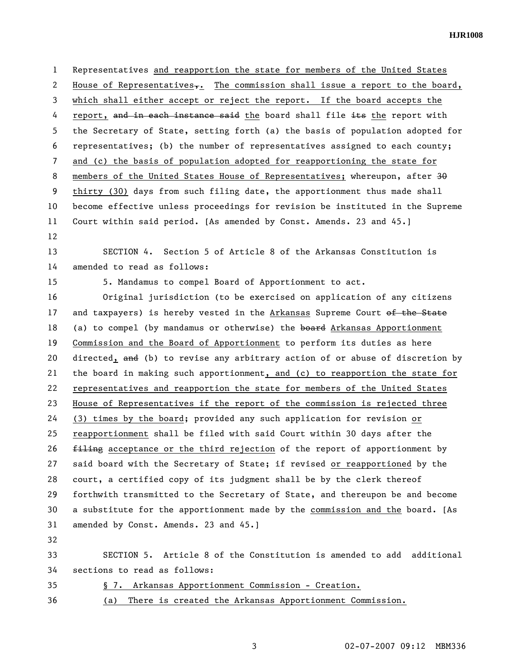**HJR1008** 

1 Representatives and reapportion the state for members of the United States 2 House of Representatives<sub> $\tau$ </sub>. The commission shall issue a report to the board, 3 which shall either accept or reject the report. If the board accepts the 4 report, and in each instance said the board shall file its the report with 5 the Secretary of State, setting forth (a) the basis of population adopted for 6 representatives; (b) the number of representatives assigned to each county; 7 and (c) the basis of population adopted for reapportioning the state for 8 members of the United States House of Representatives; whereupon, after 30 9 thirty (30) days from such filing date, the apportionment thus made shall 10 become effective unless proceedings for revision be instituted in the Supreme 11 Court within said period. [As amended by Const. Amends. 23 and 45.] 12

13 SECTION 4. Section 5 of Article 8 of the Arkansas Constitution is 14 amended to read as follows:

15 5. Mandamus to compel Board of Apportionment to act.

16 Original jurisdiction (to be exercised on application of any citizens 17 and taxpayers) is hereby vested in the Arkansas Supreme Court of the State 18 (a) to compel (by mandamus or otherwise) the board Arkansas Apportionment 19 Commission and the Board of Apportionment to perform its duties as here 20 directed, and (b) to revise any arbitrary action of or abuse of discretion by 21 the board in making such apportionment, and (c) to reapportion the state for 22 representatives and reapportion the state for members of the United States 23 House of Representatives if the report of the commission is rejected three 24 (3) times by the board; provided any such application for revision or 25 reapportionment shall be filed with said Court within 30 days after the 26 filing acceptance or the third rejection of the report of apportionment by 27 said board with the Secretary of State; if revised or reapportioned by the 28 court, a certified copy of its judgment shall be by the clerk thereof 29 forthwith transmitted to the Secretary of State, and thereupon be and become 30 a substitute for the apportionment made by the commission and the board. [As 31 amended by Const. Amends. 23 and 45.]

32

33 SECTION 5. Article 8 of the Constitution is amended to add additional 34 sections to read as follows:

35 § 7. Arkansas Apportionment Commission - Creation.

36 (a) There is created the Arkansas Apportionment Commission.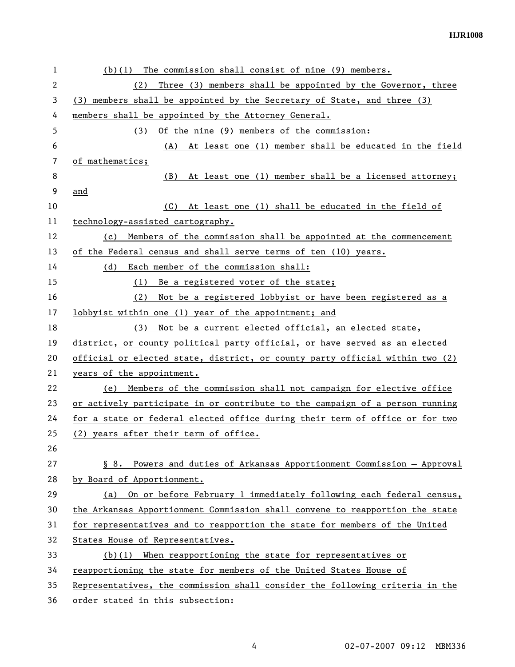| 1  | $(b)(1)$ The commission shall consist of nine (9) members.                   |
|----|------------------------------------------------------------------------------|
| 2  | Three (3) members shall be appointed by the Governor, three<br>(2)           |
| 3  | (3) members shall be appointed by the Secretary of State, and three (3)      |
| 4  | members shall be appointed by the Attorney General.                          |
| 5  | Of the nine (9) members of the commission:<br>(3)                            |
| 6  | (A) At least one (1) member shall be educated in the field                   |
| 7  | of mathematics;                                                              |
| 8  | At least one (1) member shall be a licensed attorney;<br>(B)                 |
| 9  | and                                                                          |
| 10 | At least one (1) shall be educated in the field of<br>(C)                    |
| 11 | technology-assisted cartography.                                             |
| 12 | Members of the commission shall be appointed at the commencement<br>(c)      |
| 13 | of the Federal census and shall serve terms of ten (10) years.               |
| 14 | Each member of the commission shall:<br>(d)                                  |
| 15 | (1) Be a registered voter of the state;                                      |
| 16 | Not be a registered lobbyist or have been registered as a<br>(2)             |
| 17 | lobbyist within one (1) year of the appointment; and                         |
| 18 | Not be a current elected official, an elected state,<br>(3)                  |
| 19 | district, or county political party official, or have served as an elected   |
| 20 | official or elected state, district, or county party official within two (2) |
| 21 | years of the appointment.                                                    |
| 22 | Members of the commission shall not campaign for elective office<br>(e)      |
| 23 | or actively participate in or contribute to the campaign of a person running |
| 24 | for a state or federal elected office during their term of office or for two |
| 25 | (2) years after their term of office.                                        |
| 26 |                                                                              |
| 27 | Powers and duties of Arkansas Apportionment Commission - Approval<br>$\S$ 8. |
| 28 | by Board of Apportionment.                                                   |
| 29 | On or before February 1 immediately following each federal census,<br>(a)    |
| 30 | the Arkansas Apportionment Commission shall convene to reapportion the state |
| 31 | for representatives and to reapportion the state for members of the United   |
| 32 | States House of Representatives.                                             |
| 33 | When reapportioning the state for representatives or<br>(b)(1)               |
| 34 | reapportioning the state for members of the United States House of           |
| 35 | Representatives, the commission shall consider the following criteria in the |
| 36 | order stated in this subsection:                                             |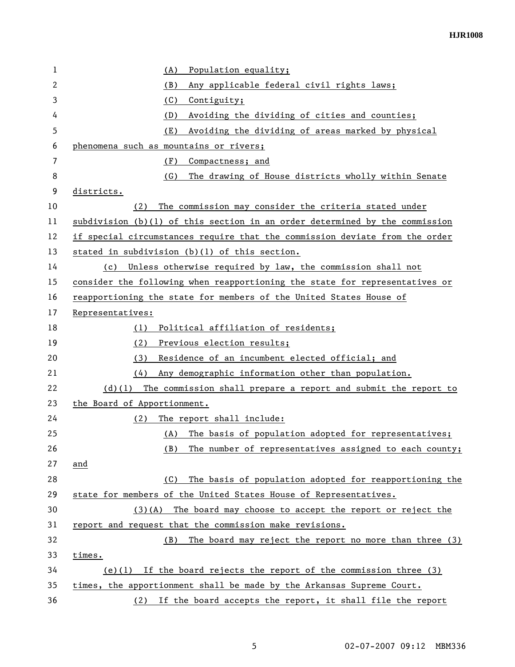**HJR1008** 

| 1              | Population equality;<br>(A)                                                 |
|----------------|-----------------------------------------------------------------------------|
| 2              | Any applicable federal civil rights laws;<br>(B)                            |
| 3              | (C)<br>Contiguity;                                                          |
| 4              | (D)<br>Avoiding the dividing of cities and counties;                        |
| 5              | (E)<br>Avoiding the dividing of areas marked by physical                    |
| 6              | phenomena such as mountains or rivers;                                      |
| $\overline{7}$ | (F)<br>Compactness; and                                                     |
| 8              | (G)<br>The drawing of House districts wholly within Senate                  |
| 9              | districts.                                                                  |
| 10             | The commission may consider the criteria stated under<br>(2)                |
| 11             | subdivision (b)(1) of this section in an order determined by the commission |
| 12             | if special circumstances require that the commission deviate from the order |
| 13             | stated in subdivision (b)(1) of this section.                               |
| 14             | Unless otherwise required by law, the commission shall not<br>(c)           |
| 15             | consider the following when reapportioning the state for representatives or |
| 16             | reapportioning the state for members of the United States House of          |
| 17             | Representatives:                                                            |
| 18             | Political affiliation of residents;<br>(1)                                  |
| 19             | (2)<br>Previous election results;                                           |
| 20             | Residence of an incumbent elected official; and<br>(3)                      |
| 21             | Any demographic information other than population.<br>(4)                   |
| 22             | $(d)(1)$ The commission shall prepare a report and submit the report to     |
| 23             | the Board of Apportionment.                                                 |
| 24             | The report shall include:<br>(2)                                            |
| 25             | The basis of population adopted for representatives;<br>(A)                 |
| 26             | The number of representatives assigned to each county;<br>(B)               |
| 27             | and                                                                         |
| 28             | The basis of population adopted for reapportioning the<br>(C)               |
| 29             | state for members of the United States House of Representatives.            |
| 30             | $(3)(A)$ The board may choose to accept the report or reject the            |
| 31             | report and request that the commission make revisions.                      |
| 32             | The board may reject the report no more than three (3)<br>(B)               |
| 33             | times.                                                                      |
| 34             | (e)(1) If the board rejects the report of the commission three $(3)$        |
| 35             | times, the apportionment shall be made by the Arkansas Supreme Court.       |
| 36             | (2) If the board accepts the report, it shall file the report               |